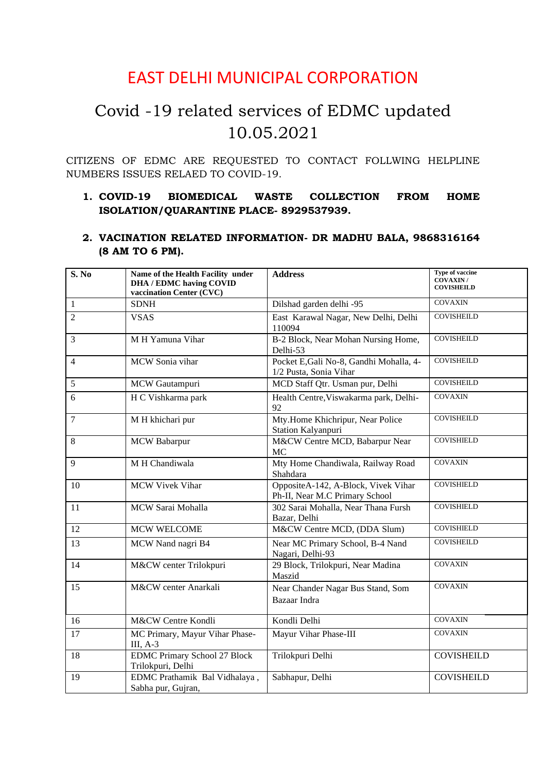# EAST DELHI MUNICIPAL CORPORATION

# Covid -19 related services of EDMC updated 10.05.2021

CITIZENS OF EDMC ARE REQUESTED TO CONTACT FOLLWING HELPLINE NUMBERS ISSUES RELAED TO COVID-19.

# **1. COVID-19 BIOMEDICAL WASTE COLLECTION FROM HOME ISOLATION/QUARANTINE PLACE- 8929537939.**

### **2. VACINATION RELATED INFORMATION- DR MADHU BALA, 9868316164 (8 AM TO 6 PM).**

| $\overline{\mathbf{S}}$ . No | Name of the Health Facility under<br><b>DHA / EDMC having COVID</b><br>vaccination Center (CVC) | <b>Address</b>                                                        | Type of vaccine<br>COVAXIN /<br><b>COVISHEILD</b> |
|------------------------------|-------------------------------------------------------------------------------------------------|-----------------------------------------------------------------------|---------------------------------------------------|
| $\mathbf{1}$                 | <b>SDNH</b>                                                                                     | Dilshad garden delhi -95                                              | <b>COVAXIN</b>                                    |
| $\overline{2}$               | <b>VSAS</b>                                                                                     | East Karawal Nagar, New Delhi, Delhi<br>110094                        | <b>COVISHEILD</b>                                 |
| $\overline{3}$               | M H Yamuna Vihar                                                                                | B-2 Block, Near Mohan Nursing Home,<br>Delhi-53                       | <b>COVISHEILD</b>                                 |
| $\overline{4}$               | MCW Sonia vihar                                                                                 | Pocket E, Gali No-8, Gandhi Mohalla, 4-<br>1/2 Pusta, Sonia Vihar     | <b>COVISHEILD</b>                                 |
| 5                            | MCW Gautampuri                                                                                  | MCD Staff Qtr. Usman pur, Delhi                                       | <b>COVISHEILD</b>                                 |
| 6                            | H C Vishkarma park                                                                              | Health Centre, Viswakarma park, Delhi-<br>92                          | <b>COVAXIN</b>                                    |
| $\overline{7}$               | M H khichari pur                                                                                | Mty.Home Khichripur, Near Police<br>Station Kalyanpuri                | <b>COVISHEILD</b>                                 |
| 8                            | <b>MCW Babarpur</b>                                                                             | M&CW Centre MCD, Babarpur Near<br><b>MC</b>                           | <b>COVISHIELD</b>                                 |
| 9                            | M H Chandiwala                                                                                  | Mty Home Chandiwala, Railway Road<br>Shahdara                         | <b>COVAXIN</b>                                    |
| 10                           | <b>MCW Vivek Vihar</b>                                                                          | OppositeA-142, A-Block, Vivek Vihar<br>Ph-II, Near M.C Primary School | <b>COVISHIELD</b>                                 |
| 11                           | MCW Sarai Mohalla                                                                               | 302 Sarai Mohalla, Near Thana Fursh<br>Bazar, Delhi                   | <b>COVISHIELD</b>                                 |
| 12                           | <b>MCW WELCOME</b>                                                                              | M&CW Centre MCD, (DDA Slum)                                           | <b>COVISHIELD</b>                                 |
| 13                           | MCW Nand nagri B4                                                                               | Near MC Primary School, B-4 Nand<br>Nagari, Delhi-93                  | <b>COVISHEILD</b>                                 |
| 14                           | M&CW center Trilokpuri                                                                          | 29 Block, Trilokpuri, Near Madina<br>Maszid                           | <b>COVAXIN</b>                                    |
| 15                           | M&CW center Anarkali                                                                            | Near Chander Nagar Bus Stand, Som<br>Bazaar Indra                     | <b>COVAXIN</b>                                    |
| 16                           | M&CW Centre Kondli                                                                              | Kondli Delhi                                                          | <b>COVAXIN</b>                                    |
| 17                           | MC Primary, Mayur Vihar Phase-<br>$III, A-3$                                                    | Mayur Vihar Phase-III                                                 | <b>COVAXIN</b>                                    |
| 18                           | <b>EDMC Primary School 27 Block</b><br>Trilokpuri, Delhi                                        | Trilokpuri Delhi                                                      | <b>COVISHEILD</b>                                 |
| 19                           | EDMC Prathamik Bal Vidhalaya,<br>Sabha pur, Gujran,                                             | Sabhapur, Delhi                                                       | <b>COVISHEILD</b>                                 |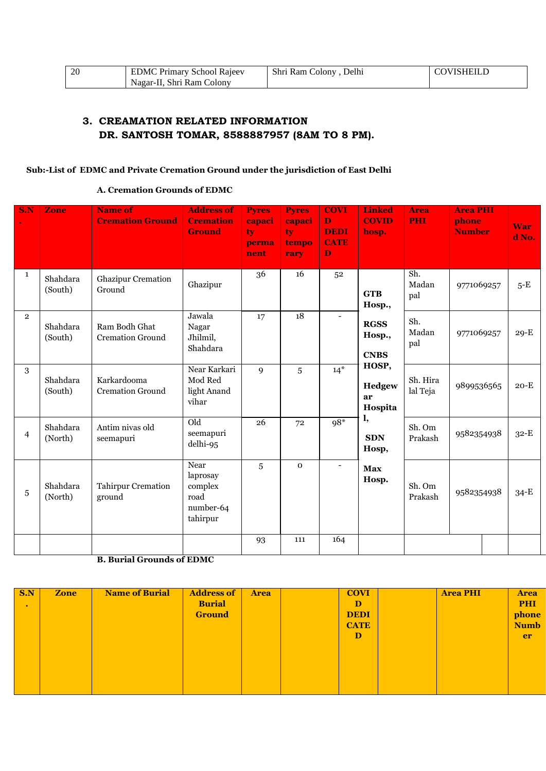| -20 | <b>EDMC Primary School Rajeev</b> | Shri Ram Colony, Delhi | <b>COVISHEILD</b> |
|-----|-----------------------------------|------------------------|-------------------|
|     | Nagar-II. Shri Ram Colony         |                        |                   |

# **3. CREAMATION RELATED INFORMATION DR. SANTOSH TOMAR, 8588887957 (8AM TO 8 PM).**

#### **Sub:-List of EDMC and Private Cremation Ground under the jurisdiction of East Delhi**

#### **A. Cremation Grounds of EDMC**

| S.N            | <b>Zone</b>         | <b>Name of</b><br><b>Cremation Ground</b> | <b>Address of</b><br><b>Cremation</b><br><b>Ground</b>       | <b>Pyres</b><br>capaci<br>ty<br>perma<br>nent | <b>Pyres</b><br>capaci<br>tv.<br>tempo<br>rary | <b>COVI</b><br>D<br><b>DEDI</b><br><b>CATE</b><br>$\mathbf D$ | <b>Linked</b><br><b>COVID</b><br>hosp. | <b>Area</b><br><b>PHI</b> | <b>Area PHI</b><br>phone<br><b>Number</b> | <b>War</b><br>d No. |
|----------------|---------------------|-------------------------------------------|--------------------------------------------------------------|-----------------------------------------------|------------------------------------------------|---------------------------------------------------------------|----------------------------------------|---------------------------|-------------------------------------------|---------------------|
| $\mathbf{1}$   | Shahdara<br>(South) | <b>Ghazipur Cremation</b><br>Ground       | Ghazipur                                                     | 36                                            | 16                                             | 52                                                            | <b>GTB</b><br>Hosp.,                   | Sh.<br>Madan<br>pal       | 9771069257                                | $5-E$               |
| $\overline{2}$ | Shahdara<br>(South) | Ram Bodh Ghat<br><b>Cremation Ground</b>  | Jawala<br>Nagar<br>Jhilmil,<br>Shahdara                      | 17                                            | 18                                             | $\overline{\phantom{0}}$                                      | <b>RGSS</b><br>Hosp.,<br><b>CNBS</b>   | Sh.<br>Madan<br>pal       | 9771069257                                | $29-E$              |
| 3              | Shahdara<br>(South) | Karkardooma<br><b>Cremation Ground</b>    | Near Karkari<br>Mod Red<br>light Anand<br>vihar              | 9                                             | 5                                              | $14*$                                                         | HOSP,<br>Hedgew<br>ar<br>Hospita       | Sh. Hira<br>lal Teja      | 9899536565                                | $20-E$              |
| $\overline{4}$ | Shahdara<br>(North) | Antim nivas old<br>seemapuri              | Old<br>seemapuri<br>delhi-95                                 | 26                                            | 72                                             | $98*$                                                         | l,<br><b>SDN</b><br>Hosp,              | Sh. Om<br>Prakash         | 9582354938                                | $32-E$              |
| 5              | Shahdara<br>(North) | Tahirpur Cremation<br>ground              | Near<br>laprosay<br>complex<br>road<br>number-64<br>tahirpur | 5                                             | $\mathbf 0$                                    | $\overline{\phantom{a}}$                                      | <b>Max</b><br>Hosp.                    | Sh. Om<br>Prakash         | 9582354938                                | $34-E$              |
|                |                     |                                           |                                                              | 93                                            | 111                                            | 164                                                           |                                        |                           |                                           |                     |

**B. Burial Grounds of EDMC**

| S.N       | <b>Zone</b> | <b>Name of Burial</b> | <b>Address of</b> | <b>Area</b> | <b>COVI</b> | <b>Area PHI</b> | <b>Area</b> |
|-----------|-------------|-----------------------|-------------------|-------------|-------------|-----------------|-------------|
| $\bullet$ |             |                       | <b>Burial</b>     |             | D           |                 | <b>PHI</b>  |
|           |             |                       | <b>Ground</b>     |             | <b>DEDI</b> |                 | phone       |
|           |             |                       |                   |             | <b>CATE</b> |                 | <b>Numb</b> |
|           |             |                       |                   |             | D           |                 | er          |
|           |             |                       |                   |             |             |                 |             |
|           |             |                       |                   |             |             |                 |             |
|           |             |                       |                   |             |             |                 |             |
|           |             |                       |                   |             |             |                 |             |
|           |             |                       |                   |             |             |                 |             |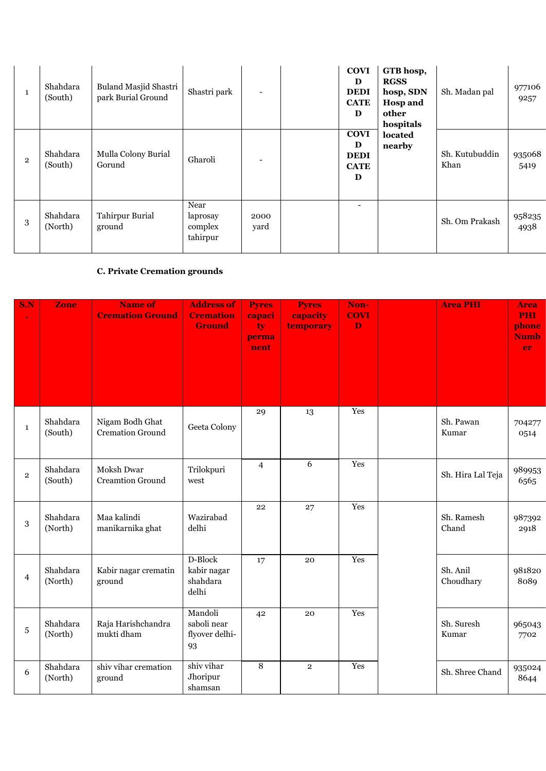| 1              | Shahdara<br>(South) | Buland Masjid Shastri<br>park Burial Ground | Shastri park                            |              | <b>COVI</b><br>D<br><b>DEDI</b><br><b>CATE</b><br>D | GTB hosp,<br><b>RGSS</b><br>hosp, SDN<br><b>Hosp and</b><br>other<br>hospitals | Sh. Madan pal          | 977106<br>9257 |
|----------------|---------------------|---------------------------------------------|-----------------------------------------|--------------|-----------------------------------------------------|--------------------------------------------------------------------------------|------------------------|----------------|
| $\overline{2}$ | Shahdara<br>(South) | Mulla Colony Burial<br>Gorund               | Gharoli                                 |              | <b>COVI</b><br>D<br><b>DEDI</b><br><b>CATE</b><br>D | located<br>nearby                                                              | Sh. Kutubuddin<br>Khan | 935068<br>5419 |
| 3              | Shahdara<br>(North) | Tahirpur Burial<br>ground                   | Near<br>laprosay<br>complex<br>tahirpur | 2000<br>yard |                                                     |                                                                                | Sh. Om Prakash         | 958235<br>4938 |

# **C. Private Cremation grounds**

| S.N            | Zone                | <b>Name of</b><br><b>Cremation Ground</b>  | <b>Address of</b><br><b>Cremation</b><br><b>Ground</b> | <b>Pyres</b><br>capaci<br>ty<br>perma<br>nent | <b>Pyres</b><br>capacity<br>temporary | Non-<br><b>COVI</b><br>$\mathbf D$ | <b>Area PHI</b>       | <b>Area</b><br><b>PHI</b><br>phone<br><b>Numb</b><br>er |
|----------------|---------------------|--------------------------------------------|--------------------------------------------------------|-----------------------------------------------|---------------------------------------|------------------------------------|-----------------------|---------------------------------------------------------|
| $\mathbf{1}$   | Shahdara<br>(South) | Nigam Bodh Ghat<br><b>Cremation Ground</b> | Geeta Colony                                           | 29                                            | 13                                    | Yes                                | Sh. Pawan<br>Kumar    | 704277<br>0514                                          |
| $\overline{2}$ | Shahdara<br>(South) | Moksh Dwar<br><b>Creamtion Ground</b>      | Trilokpuri<br>west                                     | $\overline{4}$                                | $\overline{6}$                        | Yes                                | Sh. Hira Lal Teja     | 989953<br>6565                                          |
| 3              | Shahdara<br>(North) | Maa kalindi<br>manikarnika ghat            | Wazirabad<br>delhi                                     | 22                                            | 27                                    | Yes                                | Sh. Ramesh<br>Chand   | 987392<br>2918                                          |
| $\overline{4}$ | Shahdara<br>(North) | Kabir nagar crematin<br>ground             | D-Block<br>kabir nagar<br>shahdara<br>delhi            | 17                                            | 20                                    | Yes                                | Sh. Anil<br>Choudhary | 981820<br>8089                                          |
| 5              | Shahdara<br>(North) | Raja Harishchandra<br>mukti dham           | Mandoli<br>saboli near<br>flyover delhi-<br>93         | 42                                            | 20                                    | Yes                                | Sh. Suresh<br>Kumar   | 965043<br>7702                                          |
| 6              | Shahdara<br>(North) | shiv vihar cremation<br>ground             | shiv vihar<br>Jhoripur<br>shamsan                      | $\,8\,$                                       | $\overline{2}$                        | Yes                                | Sh. Shree Chand       | 935024<br>8644                                          |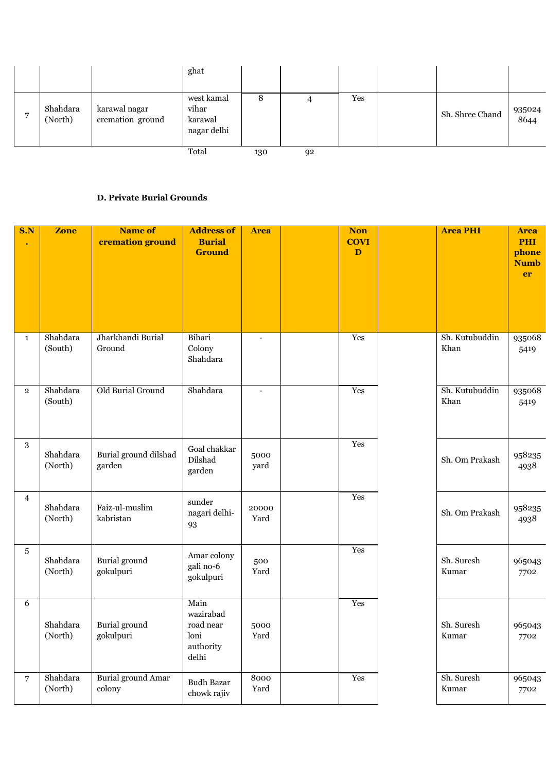|   |                     |                                   | ghat                                          |     |    |     |                 |                |
|---|---------------------|-----------------------------------|-----------------------------------------------|-----|----|-----|-----------------|----------------|
| − | Shahdara<br>(North) | karawal nagar<br>cremation ground | west kamal<br>vihar<br>karawal<br>nagar delhi | Õ   |    | Yes | Sh. Shree Chand | 935024<br>8644 |
|   |                     |                                   | Total                                         | 130 | 92 |     |                 |                |

#### **D. Private Burial Grounds**

| S.N            | <b>Zone</b>         | <b>Name of</b><br>cremation ground | <b>Address of</b><br><b>Burial</b><br><b>Ground</b>          | <b>Area</b>              | <b>Non</b><br><b>COVI</b><br>D | <b>Area PHI</b>        | <b>Area</b><br><b>PHI</b><br>phone<br><b>Numb</b><br>er |
|----------------|---------------------|------------------------------------|--------------------------------------------------------------|--------------------------|--------------------------------|------------------------|---------------------------------------------------------|
| $\mathbf{1}$   | Shahdara<br>(South) | Jharkhandi Burial<br>Ground        | Bihari<br>Colony<br>Shahdara                                 |                          | Yes                            | Sh. Kutubuddin<br>Khan | 935068<br>5419                                          |
| $\overline{2}$ | Shahdara<br>(South) | Old Burial Ground                  | Shahdara                                                     | $\overline{\phantom{a}}$ | Yes                            | Sh. Kutubuddin<br>Khan | 935068<br>5419                                          |
| 3              | Shahdara<br>(North) | Burial ground dilshad<br>garden    | Goal chakkar<br>Dilshad<br>garden                            | 5000<br>yard             | Yes                            | Sh. Om Prakash         | 958235<br>4938                                          |
| $\overline{4}$ | Shahdara<br>(North) | Faiz-ul-muslim<br>kabristan        | sunder<br>nagari delhi-<br>93                                | 20000<br>Yard            | Yes                            | Sh. Om Prakash         | 958235<br>4938                                          |
| 5              | Shahdara<br>(North) | Burial ground<br>gokulpuri         | Amar colony<br>gali no-6<br>gokulpuri                        | 500<br>Yard              | Yes                            | Sh. Suresh<br>Kumar    | 965043<br>7702                                          |
| 6              | Shahdara<br>(North) | Burial ground<br>gokulpuri         | Main<br>wazirabad<br>road near<br>loni<br>authority<br>delhi | 5000<br>Yard             | Yes                            | Sh. Suresh<br>Kumar    | 965043<br>7702                                          |
| $\overline{7}$ | Shahdara<br>(North) | Burial ground Amar<br>colony       | <b>Budh Bazar</b><br>chowk rajiv                             | 8000<br>Yard             | Yes                            | Sh. Suresh<br>Kumar    | 965043<br>7702                                          |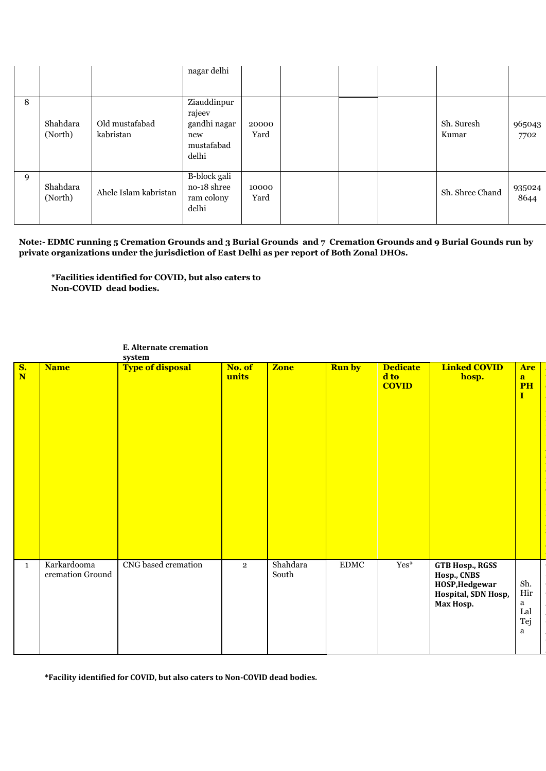|   |                     |                             | nagar delhi                                                         |               |  |                     |                |
|---|---------------------|-----------------------------|---------------------------------------------------------------------|---------------|--|---------------------|----------------|
| 8 | Shahdara<br>(North) | Old mustafabad<br>kabristan | Ziauddinpur<br>rajeev<br>gandhi nagar<br>new<br>mustafabad<br>delhi | 20000<br>Yard |  | Sh. Suresh<br>Kumar | 965043<br>7702 |
| 9 | Shahdara<br>(North) | Ahele Islam kabristan       | B-block gali<br>no-18 shree<br>ram colony<br>delhi                  | 10000<br>Yard |  | Sh. Shree Chand     | 935024<br>8644 |

**Note:- EDMC running 5 Cremation Grounds and 3 Burial Grounds and 7 Cremation Grounds and 9 Burial Gounds run by private organizations under the jurisdiction of East Delhi as per report of Both Zonal DHOs.**

> **A r e a**

**p h o n e**

**N u m b e r**

5 3

5

5

**\*Facilities identified for COVID, but also caters to Non-COVID dead bodies.**

| $\frac{\mathbf{S}}{\mathbf{N}}$ | <b>Name</b>                     | <b>Type of disposal</b> | No. of<br>units | <b>Zone</b>       | <b>Run by</b> | <b>Dedicate</b><br>d to<br><b>COVID</b> | <b>Linked COVID</b><br>hosp.                                                         | <b>Are</b><br>a<br>P <sub>H</sub><br>I |
|---------------------------------|---------------------------------|-------------------------|-----------------|-------------------|---------------|-----------------------------------------|--------------------------------------------------------------------------------------|----------------------------------------|
| $\mathbf{1}$                    | Karkardooma<br>cremation Ground | CNG based cremation     | $\overline{2}$  | Shahdara<br>South | <b>EDMC</b>   | $Yes*$                                  | GTB Hosp., RGSS<br>Hosp., CNBS<br>HOSP, Hedgewar<br>Hospital, SDN Hosp,<br>Max Hosp. | Sh.<br>Hir<br>a<br>Lal<br>Tej<br>a     |

#### **E. Alternate cremation system**

**\*Facility identified for COVID, but also caters to Non-COVID dead bodies.**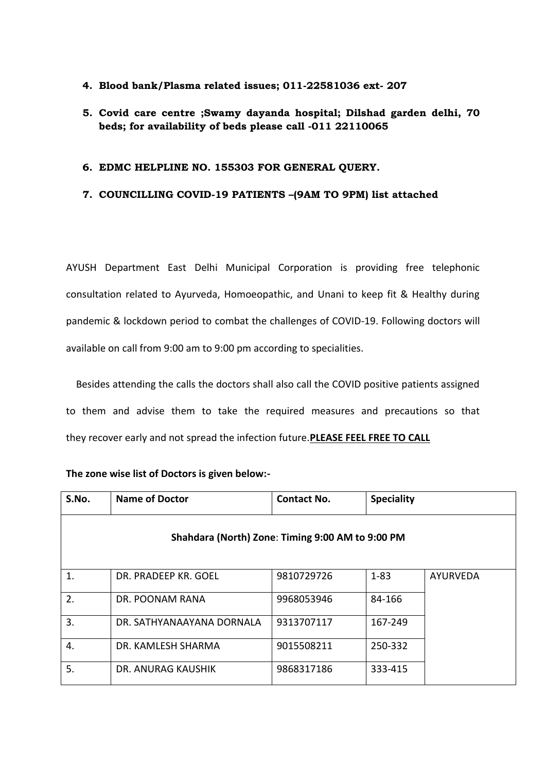#### **4. Blood bank/Plasma related issues; 011-22581036 ext- 207**

### **5. Covid care centre ;Swamy dayanda hospital; Dilshad garden delhi, 70 beds; for availability of beds please call -011 22110065**

#### **6. EDMC HELPLINE NO. 155303 FOR GENERAL QUERY.**

#### **7. COUNCILLING COVID-19 PATIENTS –(9AM TO 9PM) list attached**

AYUSH Department East Delhi Municipal Corporation is providing free telephonic consultation related to Ayurveda, Homoeopathic, and Unani to keep fit & Healthy during pandemic & lockdown period to combat the challenges of COVID-19. Following doctors will available on call from 9:00 am to 9:00 pm according to specialities.

 Besides attending the calls the doctors shall also call the COVID positive patients assigned to them and advise them to take the required measures and precautions so that they recover early and not spread the infection future.**PLEASE FEEL FREE TO CALL**

| S.No. | <b>Name of Doctor</b>                            | <b>Contact No.</b> | <b>Speciality</b> |          |
|-------|--------------------------------------------------|--------------------|-------------------|----------|
|       | Shahdara (North) Zone: Timing 9:00 AM to 9:00 PM |                    |                   |          |
| 1.    | DR. PRADEEP KR. GOEL                             | 9810729726         | $1 - 83$          | AYURVEDA |
| 2.    | DR. POONAM RANA                                  | 9968053946         | 84-166            |          |
| 3.    | DR. SATHYANAAYANA DORNALA                        | 9313707117         | 167-249           |          |
| 4.    | DR. KAMLESH SHARMA                               | 9015508211         | 250-332           |          |
| 5.    | DR. ANURAG KAUSHIK                               | 9868317186         | 333-415           |          |

#### **The zone wise list of Doctors is given below:-**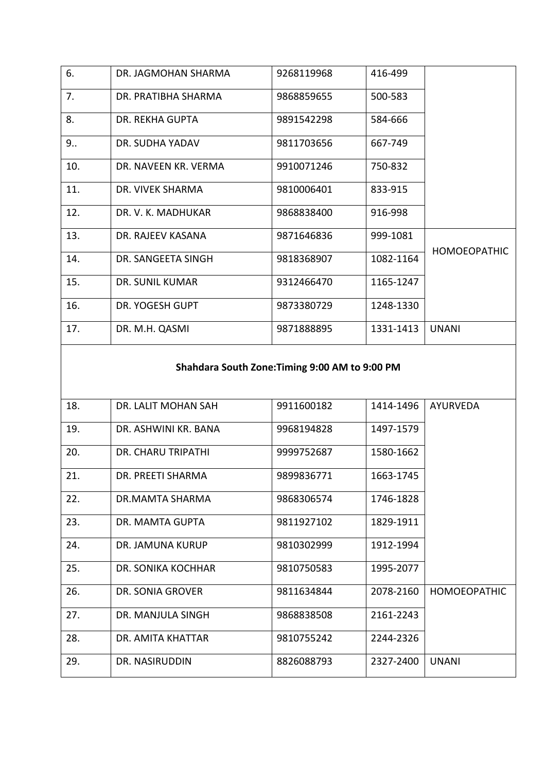| 6.  | DR. JAGMOHAN SHARMA  | 9268119968 | 416-499   |                     |
|-----|----------------------|------------|-----------|---------------------|
| 7.  | DR. PRATIBHA SHARMA  | 9868859655 | 500-583   |                     |
| 8.  | DR. REKHA GUPTA      | 9891542298 | 584-666   |                     |
| 9   | DR. SUDHA YADAV      | 9811703656 | 667-749   |                     |
| 10. | DR. NAVEEN KR. VERMA | 9910071246 | 750-832   |                     |
| 11. | DR. VIVEK SHARMA     | 9810006401 | 833-915   |                     |
| 12. | DR. V. K. MADHUKAR   | 9868838400 | 916-998   |                     |
| 13. | DR. RAJEEV KASANA    | 9871646836 | 999-1081  | <b>HOMOEOPATHIC</b> |
| 14. | DR. SANGEETA SINGH   | 9818368907 | 1082-1164 |                     |
| 15. | DR. SUNIL KUMAR      | 9312466470 | 1165-1247 |                     |
| 16. | DR. YOGESH GUPT      | 9873380729 | 1248-1330 |                     |
| 17. | DR. M.H. QASMI       | 9871888895 | 1331-1413 | <b>UNANI</b>        |

# **Shahdara South Zone:Timing 9:00 AM to 9:00 PM**

| 18. | DR. LALIT MOHAN SAH     | 9911600182 | 1414-1496 | <b>AYURVEDA</b>     |
|-----|-------------------------|------------|-----------|---------------------|
| 19. | DR. ASHWINI KR. BANA    | 9968194828 | 1497-1579 |                     |
| 20. | DR. CHARU TRIPATHI      | 9999752687 | 1580-1662 |                     |
| 21. | DR. PREETI SHARMA       | 9899836771 | 1663-1745 |                     |
| 22. | DR.MAMTA SHARMA         | 9868306574 | 1746-1828 |                     |
| 23. | DR. MAMTA GUPTA         | 9811927102 | 1829-1911 |                     |
| 24. | DR. JAMUNA KURUP        | 9810302999 | 1912-1994 |                     |
| 25. | DR. SONIKA KOCHHAR      | 9810750583 | 1995-2077 |                     |
| 26. | <b>DR. SONIA GROVER</b> | 9811634844 | 2078-2160 | <b>HOMOEOPATHIC</b> |
| 27. | DR. MANJULA SINGH       | 9868838508 | 2161-2243 |                     |
| 28. | DR. AMITA KHATTAR       | 9810755242 | 2244-2326 |                     |
| 29. | DR. NASIRUDDIN          | 8826088793 | 2327-2400 | <b>UNANI</b>        |
|     |                         |            |           |                     |